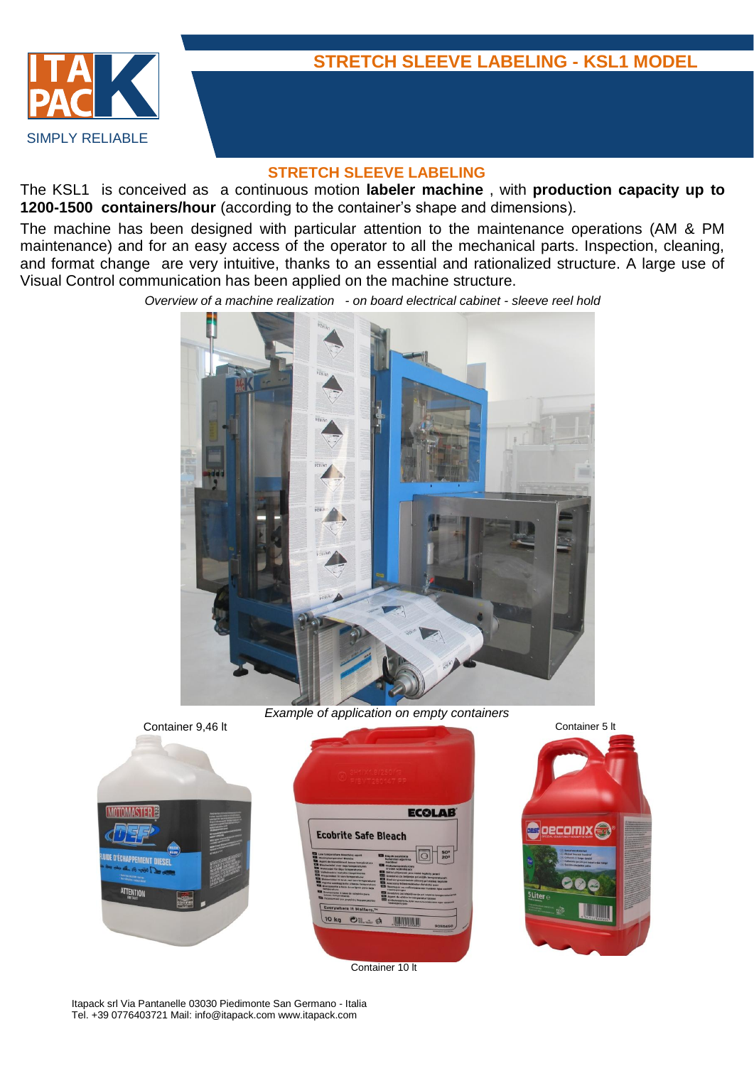

#### **STRETCH SLEEVE LABELING**

The KSL1 is conceived as a continuous motion **labeler machine** , with **production capacity up to 1200-1500 containers/hour** (according to the container's shape and dimensions).

The machine has been designed with particular attention to the maintenance operations (AM & PM maintenance) and for an easy access of the operator to all the mechanical parts. Inspection, cleaning, and format change are very intuitive, thanks to an essential and rationalized structure. A large use of Visual Control communication has been applied on the machine structure.

*Overview of a machine realization - on board electrical cabinet - sleeve reel hold*



*Example of application on empty containers*





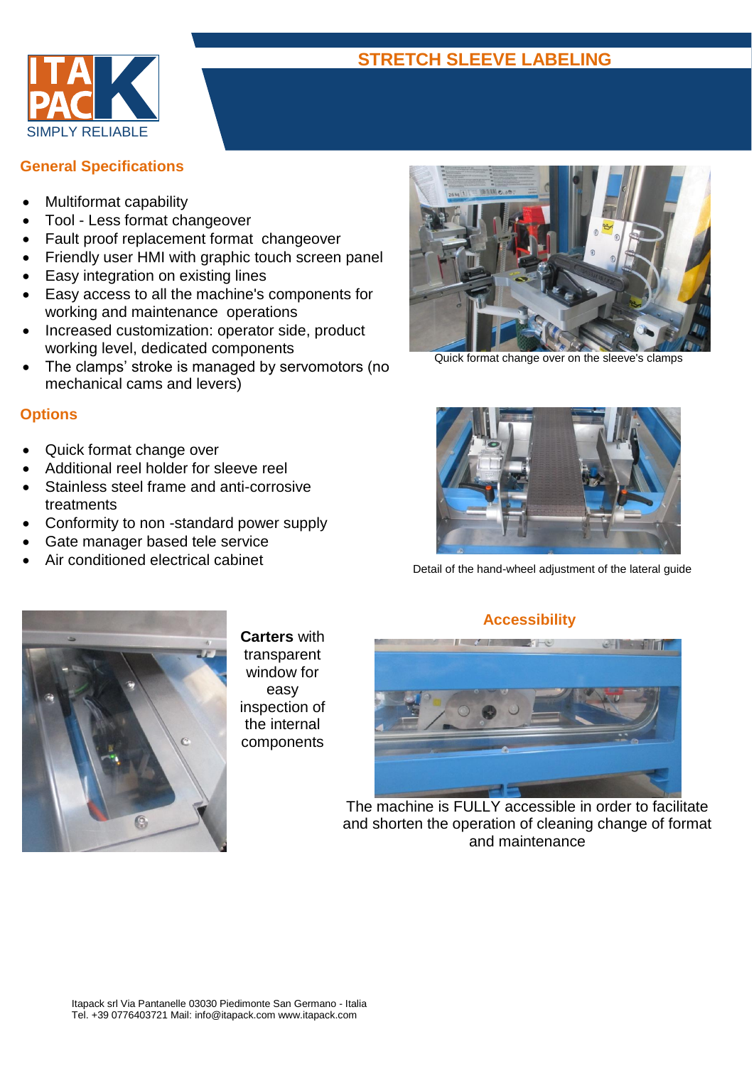

### **General Specifications**

- Multiformat capability
- Tool Less format changeover
- Fault proof replacement format changeover
- Friendly user HMI with graphic touch screen panel
- Easy integration on existing lines
- Easy access to all the machine's components for working and maintenance operations
- Increased customization: operator side, product working level, dedicated components
- The clamps' stroke is managed by servomotors (no mechanical cams and levers)

### **Options**

- Quick format change over
- Additional reel holder for sleeve reel
- Stainless steel frame and anti-corrosive treatments
- Conformity to non -standard power supply
- Gate manager based tele service
- Air conditioned electrical cabinet



Quick format change over on the sleeve's clamps



Detail of the hand-wheel adjustment of the lateral guide



**Carters** with transparent window for easy inspection of the internal components

### **Accessibility**



The machine is FULLY accessible in order to facilitate and shorten the operation of cleaning change of format and maintenance

# **STRETCH SLEEVE LABELING**